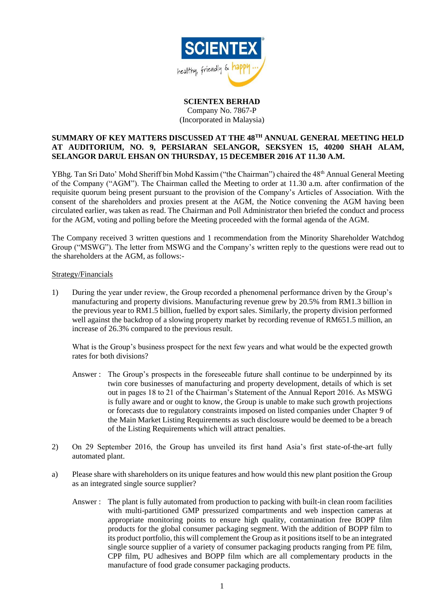

# **SCIENTEX BERHAD** Company No. 7867-P

(Incorporated in Malaysia)

## **SUMMARY OF KEY MATTERS DISCUSSED AT THE 48TH ANNUAL GENERAL MEETING HELD AT AUDITORIUM, NO. 9, PERSIARAN SELANGOR, SEKSYEN 15, 40200 SHAH ALAM, SELANGOR DARUL EHSAN ON THURSDAY, 15 DECEMBER 2016 AT 11.30 A.M.**

YBhg. Tan Sri Dato' Mohd Sheriff bin Mohd Kassim ("the Chairman") chaired the 48<sup>th</sup> Annual General Meeting of the Company ("AGM"). The Chairman called the Meeting to order at 11.30 a.m. after confirmation of the requisite quorum being present pursuant to the provision of the Company's Articles of Association. With the consent of the shareholders and proxies present at the AGM, the Notice convening the AGM having been circulated earlier, was taken as read. The Chairman and Poll Administrator then briefed the conduct and process for the AGM, voting and polling before the Meeting proceeded with the formal agenda of the AGM.

The Company received 3 written questions and 1 recommendation from the Minority Shareholder Watchdog Group ("MSWG"). The letter from MSWG and the Company's written reply to the questions were read out to the shareholders at the AGM, as follows:-

### Strategy/Financials

1) During the year under review, the Group recorded a phenomenal performance driven by the Group's manufacturing and property divisions. Manufacturing revenue grew by 20.5% from RM1.3 billion in the previous year to RM1.5 billion, fuelled by export sales. Similarly, the property division performed well against the backdrop of a slowing property market by recording revenue of RM651.5 million, an increase of 26.3% compared to the previous result.

What is the Group's business prospect for the next few years and what would be the expected growth rates for both divisions?

- Answer : The Group's prospects in the foreseeable future shall continue to be underpinned by its twin core businesses of manufacturing and property development, details of which is set out in pages 18 to 21 of the Chairman's Statement of the Annual Report 2016. As MSWG is fully aware and or ought to know, the Group is unable to make such growth projections or forecasts due to regulatory constraints imposed on listed companies under Chapter 9 of the Main Market Listing Requirements as such disclosure would be deemed to be a breach of the Listing Requirements which will attract penalties.
- 2) On 29 September 2016, the Group has unveiled its first hand Asia's first state-of-the-art fully automated plant.
- a) Please share with shareholders on its unique features and how would this new plant position the Group as an integrated single source supplier?
	- Answer : The plant is fully automated from production to packing with built-in clean room facilities with multi-partitioned GMP pressurized compartments and web inspection cameras at appropriate monitoring points to ensure high quality, contamination free BOPP film products for the global consumer packaging segment. With the addition of BOPP film to its product portfolio, this will complement the Group as it positions itself to be an integrated single source supplier of a variety of consumer packaging products ranging from PE film, CPP film, PU adhesives and BOPP film which are all complementary products in the manufacture of food grade consumer packaging products.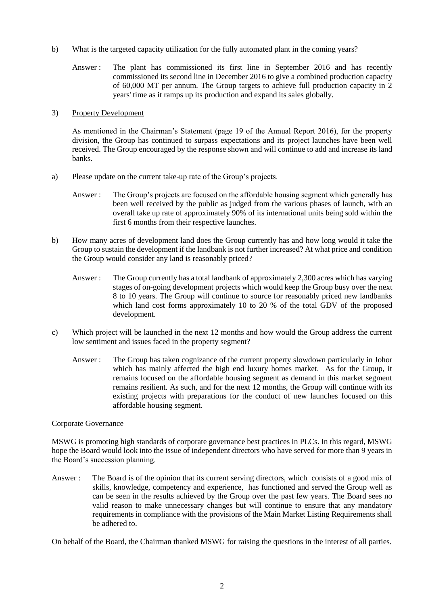- b) What is the targeted capacity utilization for the fully automated plant in the coming years?
	- Answer : The plant has commissioned its first line in September 2016 and has recently commissioned its second line in December 2016 to give a combined production capacity of 60,000 MT per annum. The Group targets to achieve full production capacity in 2 years' time as it ramps up its production and expand its sales globally.

#### 3) Property Development

As mentioned in the Chairman's Statement (page 19 of the Annual Report 2016), for the property division, the Group has continued to surpass expectations and its project launches have been well received. The Group encouraged by the response shown and will continue to add and increase its land banks.

- a) Please update on the current take-up rate of the Group's projects.
	- Answer : The Group's projects are focused on the affordable housing segment which generally has been well received by the public as judged from the various phases of launch, with an overall take up rate of approximately 90% of its international units being sold within the first 6 months from their respective launches.
- b) How many acres of development land does the Group currently has and how long would it take the Group to sustain the development if the landbank is not further increased? At what price and condition the Group would consider any land is reasonably priced?
	- Answer : The Group currently has a total landbank of approximately 2,300 acres which has varying stages of on-going development projects which would keep the Group busy over the next 8 to 10 years. The Group will continue to source for reasonably priced new landbanks which land cost forms approximately 10 to 20 % of the total GDV of the proposed development.
- c) Which project will be launched in the next 12 months and how would the Group address the current low sentiment and issues faced in the property segment?
	- Answer : The Group has taken cognizance of the current property slowdown particularly in Johor which has mainly affected the high end luxury homes market. As for the Group, it remains focused on the affordable housing segment as demand in this market segment remains resilient. As such, and for the next 12 months, the Group will continue with its existing projects with preparations for the conduct of new launches focused on this affordable housing segment.

### Corporate Governance

MSWG is promoting high standards of corporate governance best practices in PLCs. In this regard, MSWG hope the Board would look into the issue of independent directors who have served for more than 9 years in the Board's succession planning.

Answer : The Board is of the opinion that its current serving directors, which consists of a good mix of skills, knowledge, competency and experience, has functioned and served the Group well as can be seen in the results achieved by the Group over the past few years. The Board sees no valid reason to make unnecessary changes but will continue to ensure that any mandatory requirements in compliance with the provisions of the Main Market Listing Requirements shall be adhered to.

On behalf of the Board, the Chairman thanked MSWG for raising the questions in the interest of all parties.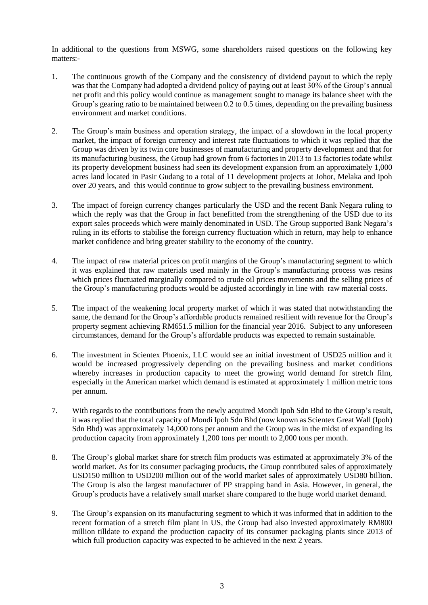In additional to the questions from MSWG, some shareholders raised questions on the following key matters:-

- 1. The continuous growth of the Company and the consistency of dividend payout to which the reply was that the Company had adopted a dividend policy of paying out at least 30% of the Group's annual net profit and this policy would continue as management sought to manage its balance sheet with the Group's gearing ratio to be maintained between 0.2 to 0.5 times, depending on the prevailing business environment and market conditions.
- 2. The Group's main business and operation strategy, the impact of a slowdown in the local property market, the impact of foreign currency and interest rate fluctuations to which it was replied that the Group was driven by its twin core businesses of manufacturing and property development and that for its manufacturing business, the Group had grown from 6 factories in 2013 to 13 factories todate whilst its property development business had seen its development expansion from an approximately 1,000 acres land located in Pasir Gudang to a total of 11 development projects at Johor, Melaka and Ipoh over 20 years, and this would continue to grow subject to the prevailing business environment.
- 3. The impact of foreign currency changes particularly the USD and the recent Bank Negara ruling to which the reply was that the Group in fact benefitted from the strengthening of the USD due to its export sales proceeds which were mainly denominated in USD. The Group supported Bank Negara's ruling in its efforts to stabilise the foreign currency fluctuation which in return, may help to enhance market confidence and bring greater stability to the economy of the country.
- 4. The impact of raw material prices on profit margins of the Group's manufacturing segment to which it was explained that raw materials used mainly in the Group's manufacturing process was resins which prices fluctuated marginally compared to crude oil prices movements and the selling prices of the Group's manufacturing products would be adjusted accordingly in line with raw material costs.
- 5. The impact of the weakening local property market of which it was stated that notwithstanding the same, the demand for the Group's affordable products remained resilient with revenue for the Group's property segment achieving RM651.5 million for the financial year 2016. Subject to any unforeseen circumstances, demand for the Group's affordable products was expected to remain sustainable.
- 6. The investment in Scientex Phoenix, LLC would see an initial investment of USD25 million and it would be increased progressively depending on the prevailing business and market conditions whereby increases in production capacity to meet the growing world demand for stretch film, especially in the American market which demand is estimated at approximately 1 million metric tons per annum.
- 7. With regards to the contributions from the newly acquired Mondi Ipoh Sdn Bhd to the Group's result, it was replied that the total capacity of Mondi Ipoh Sdn Bhd (now known as Scientex Great Wall (Ipoh) Sdn Bhd) was approximately 14,000 tons per annum and the Group was in the midst of expanding its production capacity from approximately 1,200 tons per month to 2,000 tons per month.
- 8. The Group's global market share for stretch film products was estimated at approximately 3% of the world market. As for its consumer packaging products, the Group contributed sales of approximately USD150 million to USD200 million out of the world market sales of approximately USD80 billion. The Group is also the largest manufacturer of PP strapping band in Asia. However, in general, the Group's products have a relatively small market share compared to the huge world market demand.
- 9. The Group's expansion on its manufacturing segment to which it was informed that in addition to the recent formation of a stretch film plant in US, the Group had also invested approximately RM800 million tilldate to expand the production capacity of its consumer packaging plants since 2013 of which full production capacity was expected to be achieved in the next 2 years.